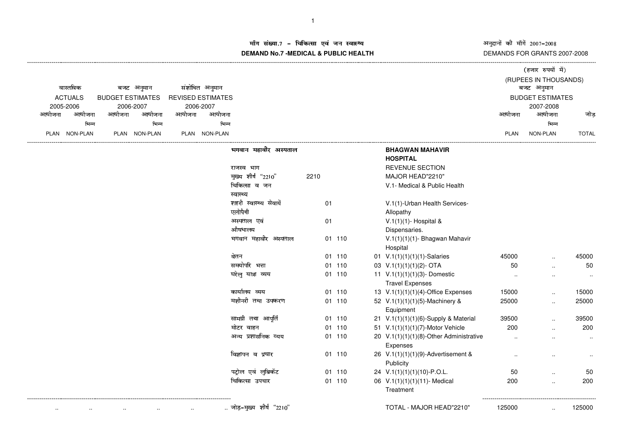अनुदानों की माँगें 2007–2008<br>DEMANDS FOR GRANTS 2007-2008

(हजार रुपयों में)

## म संख्या.7 – चिकित्सा एवं जन स्वास्थ्य<br>IAND N- 7 MEDIOAL 8 DUDLIO UEALTIL **DEMAND No.7 -MEDICAL & PUBLIC HEALTH**

| वास्तविक                                  |               | बजट अनुमान |               |                          | संशोधित अनुमान |                         |      |        |  |                                             |             | (RUPEES IN THOUSANDS) |              |
|-------------------------------------------|---------------|------------|---------------|--------------------------|----------------|-------------------------|------|--------|--|---------------------------------------------|-------------|-----------------------|--------------|
| <b>ACTUALS</b><br><b>BUDGET ESTIMATES</b> |               |            |               | <b>REVISED ESTIMATES</b> |                |                         |      |        |  | बजट अनुमान<br><b>BUDGET ESTIMATES</b>       |             |                       |              |
| 2005-2006                                 |               | 2006-2007  |               |                          | 2006-2007      |                         |      |        |  |                                             |             | 2007-2008             |              |
| आयोजना                                    | आयोजना        | आयोजना     | आयोजना        | आयोजना                   | आयोजना         |                         |      |        |  |                                             | आयोजना      | आयोजना                | जोड          |
|                                           | भिन्न         |            | भिन्न         |                          | भिन्न          |                         |      |        |  |                                             |             | भिन्न                 |              |
|                                           | PLAN NON-PLAN |            | PLAN NON-PLAN |                          | PLAN NON-PLAN  |                         |      |        |  |                                             | <b>PLAN</b> | NON-PLAN              | <b>TOTAL</b> |
|                                           |               |            |               |                          |                | भगवान महावीर अस्पताल    |      |        |  | <b>BHAGWAN MAHAVIR</b><br><b>HOSPITAL</b>   |             |                       |              |
|                                           |               |            |               |                          |                | राजस्व भाग              |      |        |  | <b>REVENUE SECTION</b>                      |             |                       |              |
|                                           |               |            |               |                          |                | मुख्य शीर्ष "2210"      | 2210 |        |  | MAJOR HEAD"2210"                            |             |                       |              |
|                                           |               |            |               |                          |                | चिकित्सा व जन           |      |        |  | V.1- Medical & Public Health                |             |                       |              |
|                                           |               |            |               |                          |                | स्वास्थ्य               |      |        |  |                                             |             |                       |              |
|                                           |               |            |               |                          |                | शहरी स्वास्थ्य सेवायें  | 01   |        |  | V.1(1)-Urban Health Services-               |             |                       |              |
|                                           |               |            |               |                          |                | एलोपैथी                 |      |        |  | Allopathy                                   |             |                       |              |
|                                           |               |            |               |                          |                | अस्पताल एवं             | 01   |        |  | V.1(1)(1)- Hospital &                       |             |                       |              |
|                                           |               |            |               |                          |                | औषधालय                  |      |        |  | Dispensaries.                               |             |                       |              |
|                                           |               |            |               |                          |                | भगवान महावीर अस्पताल    |      | 01 110 |  | V.1(1)(1)(1)- Bhagwan Mahavir<br>Hospital   |             |                       |              |
|                                           |               |            |               |                          |                | वेतन                    |      | 01 110 |  | 01 V.1(1)(1)(1)(1)-Salaries                 | 45000       |                       | 45000        |
|                                           |               |            |               |                          |                | समयोपरि भत्ता           | 01   | 110    |  | 03 V.1(1)(1)(1)(2)- OTA                     | 50          | $\ddotsc$             | 50           |
|                                           |               |            |               |                          |                | घरेलु यात्रा व्यय       |      | 01 110 |  | 11 V.1(1)(1)(1)(3)-Domestic                 |             | $\ddotsc$             | $\ddotsc$    |
|                                           |               |            |               |                          |                |                         |      |        |  | <b>Travel Expenses</b>                      |             |                       |              |
|                                           |               |            |               |                          |                | कार्यालय व्यय           |      | 01 110 |  | 13 V.1(1)(1)(1)(4)-Office Expenses          | 15000       | $\ldots$              | 15000        |
|                                           |               |            |               |                          |                | मशीनरी तथा उपकरण        |      | 01 110 |  | 52 V.1(1)(1)(1)(5)-Machinery &<br>Equipment | 25000       | $\ddot{\phantom{a}}$  | 25000        |
|                                           |               |            |               |                          |                | सामग्री तथा आपूर्ति     |      | 01 110 |  | 21 V.1(1)(1)(1)(6)-Supply & Material        | 39500       | $\ddotsc$             | 39500        |
|                                           |               |            |               |                          |                | मोटर वाहन               |      | 01 110 |  | 51 V.1(1)(1)(1)(7)-Motor Vehicle            | 200         |                       | 200          |
|                                           |               |            |               |                          |                | अन्य प्रशासनिक व्यय     |      | 01 110 |  | 20 V.1(1)(1)(1)(8)-Other Administrative     |             |                       | $\ddotsc$    |
|                                           |               |            |               |                          |                |                         |      |        |  | Expenses                                    |             |                       |              |
|                                           |               |            |               |                          |                | विज्ञापन व प्रचार       |      | 01 110 |  | 26 V.1(1)(1)(1)(9)-Advertisement &          | $\cdot$     |                       |              |
|                                           |               |            |               |                          |                |                         |      |        |  | Publicity                                   |             |                       | $\sim$       |
|                                           |               |            |               |                          |                | पट्रोल एवं लुब्रिकेंट   | 01   | 110    |  | 24 V.1(1)(1)(1)(10)-P.O.L.                  | 50          | $\ddotsc$             | 50           |
|                                           |               |            |               |                          |                | चिकित्सा उपचार          |      | 01 110 |  | 06 V.1(1)(1)(1)(11)- Medical                | 200         | $\ddot{\phantom{a}}$  | 200          |
|                                           |               |            |               |                          |                |                         |      |        |  | Treatment                                   |             |                       |              |
|                                           |               |            |               |                          |                | जोड़-मुख्य शीर्ष "2210" |      |        |  | TOTAL - MAJOR HEAD"2210"                    | 125000      |                       | 125000       |
|                                           |               |            |               |                          |                |                         |      |        |  |                                             |             |                       |              |

----------------------------------------------------------------------------------------------------------------------------------------------------------------------------------------------------------------------------------------------------------------------------------------------